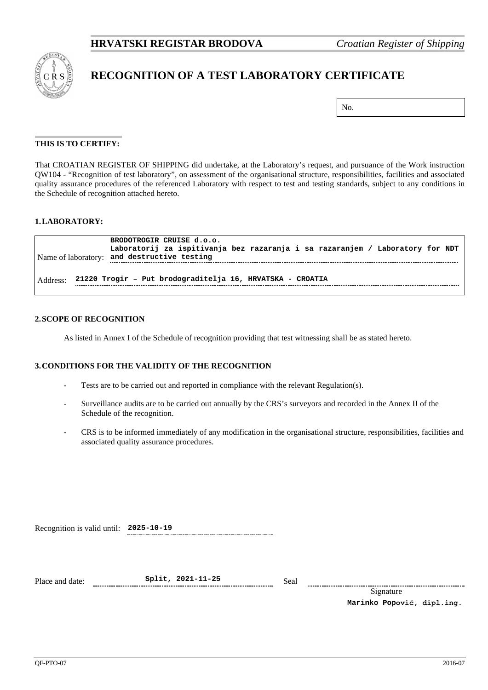

# **RECOGNITION OF A TEST LABORATORY CERTIFICATE**

| No. |
|-----|
|-----|

#### **THIS IS TO CERTIFY:**

That CROATIAN REGISTER OF SHIPPING did undertake, at the Laboratory's request, and pursuance of the Work instruction QW104 - "Recognition of test laboratory", on assessment of the organisational structure, responsibilities, facilities and associated quality assurance procedures of the referenced Laboratory with respect to test and testing standards, subject to any conditions in the Schedule of recognition attached hereto.

#### **1.LABORATORY:**

|          | BRODOTROGIR CRUISE d.o.o.<br>Laboratorij za ispitivanja bez razaranja i sa razaranjem / Laboratory for NDT<br>Name of laboratory: and destructive testing |
|----------|-----------------------------------------------------------------------------------------------------------------------------------------------------------|
| Address: | 21220 Trogir - Put brodograditelja 16, HRVATSKA - CROATIA                                                                                                 |

# **2.SCOPE OF RECOGNITION**

As listed in Annex I of the Schedule of recognition providing that test witnessing shall be as stated hereto.

#### **3.CONDITIONS FOR THE VALIDITY OF THE RECOGNITION**

- Tests are to be carried out and reported in compliance with the relevant Regulation(s).
- Surveillance audits are to be carried out annually by the CRS's surveyors and recorded in the Annex II of the Schedule of the recognition.
- CRS is to be informed immediately of any modification in the organisational structure, responsibilities, facilities and associated quality assurance procedures.

| Recognition is valid until: 2025-10-19 |  |
|----------------------------------------|--|
|----------------------------------------|--|

Place and date: **Split, 2021-11-25** Seal

Signature **Marinko Popović, dipl.ing.**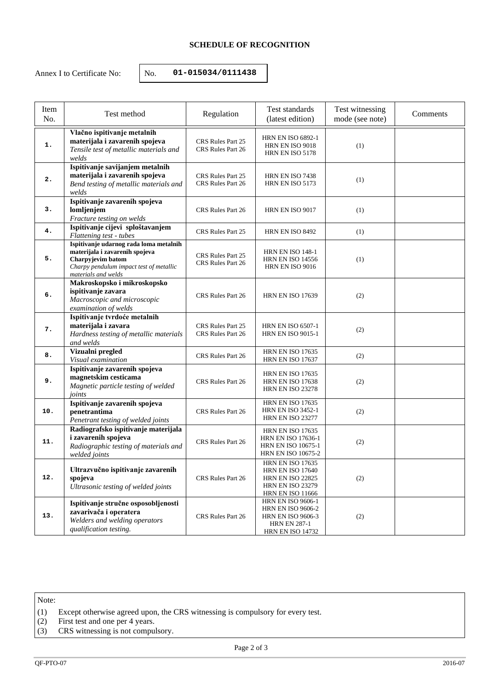## **SCHEDULE OF RECOGNITION**

Annex I to Certificate No:  $\vert$  No. **01-015034/0111438** 

| Item<br>No. | Test method                                                                                                                                                     | Regulation                             | Test standards<br>(latest edition)                                                                                                  | Test witnessing<br>mode (see note) | Comments |
|-------------|-----------------------------------------------------------------------------------------------------------------------------------------------------------------|----------------------------------------|-------------------------------------------------------------------------------------------------------------------------------------|------------------------------------|----------|
| 1.          | Vlačno ispitivanje metalnih<br>materijala i zavarenih spojeva<br>Tensile test of metallic materials and<br>welds                                                | CRS Rules Part 25<br>CRS Rules Part 26 | <b>HRN EN ISO 6892-1</b><br>HRN EN ISO 9018<br>HRN EN ISO 5178                                                                      | (1)                                |          |
| 2.          | Ispitivanje savijanjem metalnih<br>materijala i zavarenih spojeva<br>Bend testing of metallic materials and<br>welds                                            | CRS Rules Part 25<br>CRS Rules Part 26 | HRN EN ISO 7438<br>HRN EN ISO 5173                                                                                                  | (1)                                |          |
| 3.          | Ispitivanje zavarenih spojeva<br>lomljenjem<br>Fracture testing on welds                                                                                        | CRS Rules Part 26                      | HRN EN ISO 9017                                                                                                                     | (1)                                |          |
| 4.          | Ispitivanje cijevi sploštavanjem<br>Flattening test - tubes                                                                                                     | CRS Rules Part 25                      | HRN EN ISO 8492                                                                                                                     | (1)                                |          |
| 5.          | Ispitivanje udarnog rada loma metalnih<br>materijala i zavarenih spojeva<br>Charpyjevim batom<br>Charpy pendulum impact test of metallic<br>materials and welds | CRS Rules Part 25<br>CRS Rules Part 26 | <b>HRN EN ISO 148-1</b><br><b>HRN EN ISO 14556</b><br>HRN EN ISO 9016                                                               | (1)                                |          |
| 6.          | Makroskopsko i mikroskopsko<br>ispitivanje zavara<br>Macroscopic and microscopic<br>examination of welds                                                        | CRS Rules Part 26                      | <b>HRN EN ISO 17639</b>                                                                                                             | (2)                                |          |
| 7.          | Ispitivanje tvrdoće metalnih<br>materijala i zavara<br>Hardness testing of metallic materials<br>and welds                                                      | CRS Rules Part 25<br>CRS Rules Part 26 | <b>HRN EN ISO 6507-1</b><br><b>HRN EN ISO 9015-1</b>                                                                                | (2)                                |          |
| 8.          | Vizualni pregled<br>Visual examination                                                                                                                          | CRS Rules Part 26                      | <b>HRN EN ISO 17635</b><br><b>HRN EN ISO 17637</b>                                                                                  | (2)                                |          |
| 9.          | Ispitivanje zavarenih spojeva<br>magnetskim cesticama<br>Magnetic particle testing of welded<br>joints                                                          | CRS Rules Part 26                      | <b>HRN EN ISO 17635</b><br><b>HRN EN ISO 17638</b><br><b>HRN EN ISO 23278</b>                                                       | (2)                                |          |
| 10.         | Ispitivanje zavarenih spojeva<br>penetrantima<br>Penetrant testing of welded joints                                                                             | CRS Rules Part 26                      | <b>HRN EN ISO 17635</b><br><b>HRN EN ISO 3452-1</b><br><b>HRN EN ISO 23277</b>                                                      | (2)                                |          |
| 11.         | Radiografsko ispitivanje materijala<br>i zavarenih spojeva<br>Radiographic testing of materials and<br>welded joints                                            | CRS Rules Part 26                      | <b>HRN EN ISO 17635</b><br><b>HRN EN ISO 17636-1</b><br><b>HRN EN ISO 10675-1</b><br><b>HRN EN ISO 10675-2</b>                      | (2)                                |          |
| 12.         | Ultrazvučno ispitivanje zavarenih<br>spojeva<br>Ultrasonic testing of welded joints                                                                             | CRS Rules Part 26                      | <b>HRN EN ISO 17635</b><br><b>HRN EN ISO 17640</b><br><b>HRN EN ISO 22825</b><br><b>HRN EN ISO 23279</b><br><b>HRN EN ISO 11666</b> | (2)                                |          |
| 13.         | Ispitivanje stručne osposobljenosti<br>zavarivača i operatera<br>Welders and welding operators<br>qualification testing.                                        | CRS Rules Part 26                      | <b>HRN EN ISO 9606-1</b><br><b>HRN EN ISO 9606-2</b><br><b>HRN EN ISO 9606-3</b><br><b>HRN EN 287-1</b><br><b>HRN EN ISO 14732</b>  | (2)                                |          |

Note:

- (1) Except otherwise agreed upon, the CRS witnessing is compulsory for every test.
- (2) First test and one per 4 years.
- (3) CRS witnessing is not compulsory.

Page 2 of 3